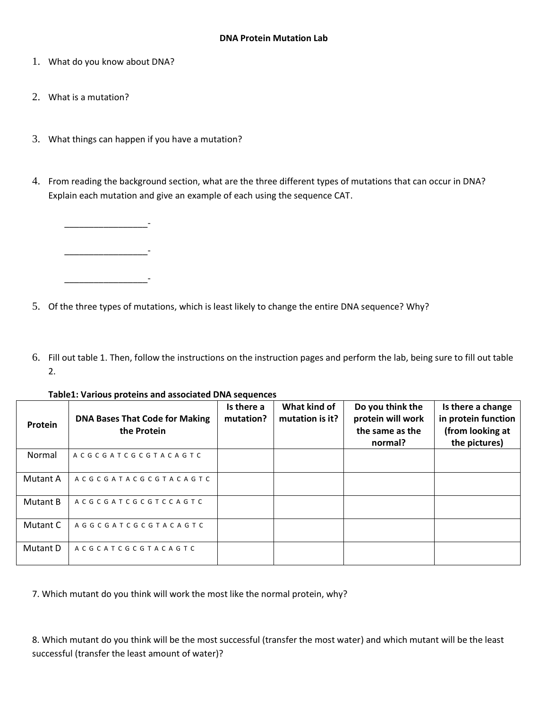- 1. What do you know about DNA?
- 2. What is a mutation?
- 3. What things can happen if you have a mutation?
- 4. From reading the background section, what are the three different types of mutations that can occur in DNA? Explain each mutation and give an example of each using the sequence CAT.

\_\_\_\_\_\_\_\_\_\_\_\_\_\_\_\_\_- \_\_\_\_\_\_\_\_\_\_\_\_\_\_\_\_\_- \_\_\_\_\_\_\_\_\_\_\_\_\_\_\_\_\_-

- 5. Of the three types of mutations, which is least likely to change the entire DNA sequence? Why?
- 6. Fill out table 1. Then, follow the instructions on the instruction pages and perform the lab, being sure to fill out table 2.

**Table1: Various proteins and associated DNA sequences**

| Protein  | <b>DNA Bases That Code for Making</b><br>the Protein | Is there a<br>mutation? | What kind of<br>mutation is it? | Do you think the<br>protein will work<br>the same as the<br>normal? | Is there a change<br>in protein function<br>(from looking at<br>the pictures) |
|----------|------------------------------------------------------|-------------------------|---------------------------------|---------------------------------------------------------------------|-------------------------------------------------------------------------------|
| Normal   | ACGCGATCGCGTACAGTC                                   |                         |                                 |                                                                     |                                                                               |
| Mutant A | ACGCGATACGCGTACAGTC                                  |                         |                                 |                                                                     |                                                                               |
| Mutant B | ACGCGATCGCGTCCAGTC                                   |                         |                                 |                                                                     |                                                                               |
| Mutant C | AGGCGATCGCGTACAGTC                                   |                         |                                 |                                                                     |                                                                               |
| Mutant D | ACGCATCGCGTACAGTC                                    |                         |                                 |                                                                     |                                                                               |

7. Which mutant do you think will work the most like the normal protein, why?

8. Which mutant do you think will be the most successful (transfer the most water) and which mutant will be the least successful (transfer the least amount of water)?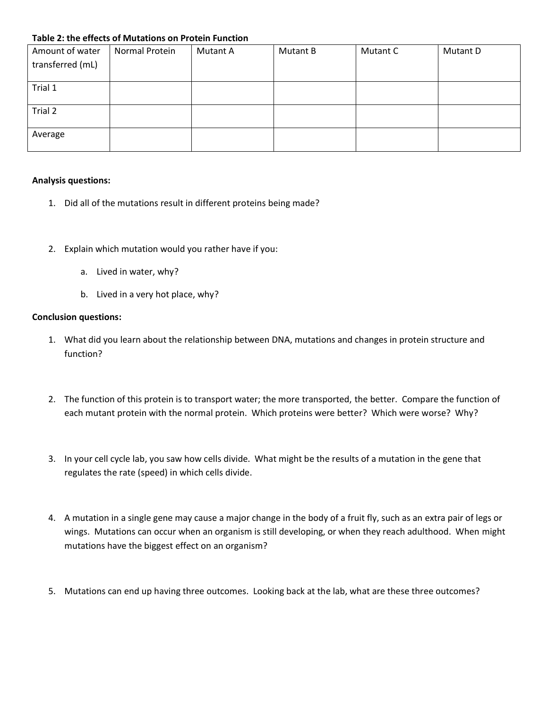### **Table 2: the effects of Mutations on Protein Function**

| Amount of water  | Normal Protein | Mutant A | Mutant B | Mutant C | Mutant D |
|------------------|----------------|----------|----------|----------|----------|
| transferred (mL) |                |          |          |          |          |
|                  |                |          |          |          |          |
| Trial 1          |                |          |          |          |          |
|                  |                |          |          |          |          |
| Trial 2          |                |          |          |          |          |
|                  |                |          |          |          |          |
| Average          |                |          |          |          |          |
|                  |                |          |          |          |          |

#### **Analysis questions:**

- 1. Did all of the mutations result in different proteins being made?
- 2. Explain which mutation would you rather have if you:
	- a. Lived in water, why?
	- b. Lived in a very hot place, why?

#### **Conclusion questions:**

- 1. What did you learn about the relationship between DNA, mutations and changes in protein structure and function?
- 2. The function of this protein is to transport water; the more transported, the better. Compare the function of each mutant protein with the normal protein. Which proteins were better? Which were worse? Why?
- 3. In your cell cycle lab, you saw how cells divide. What might be the results of a mutation in the gene that regulates the rate (speed) in which cells divide.
- 4. A mutation in a single gene may cause a major change in the body of a fruit fly, such as an extra pair of legs or wings. Mutations can occur when an organism is still developing, or when they reach adulthood. When might mutations have the biggest effect on an organism?
- 5. Mutations can end up having three outcomes. Looking back at the lab, what are these three outcomes?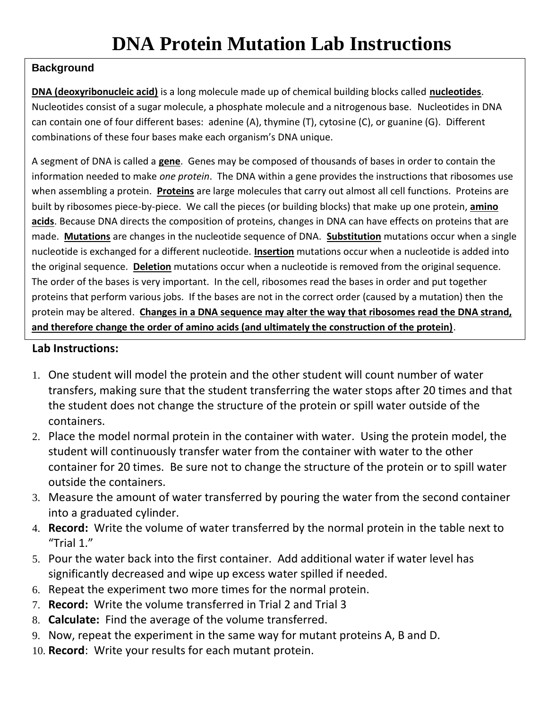### **Background**

**DNA (deoxyribonucleic acid)** is a long molecule made up of chemical building blocks called **nucleotides**. Nucleotides consist of a sugar molecule, a phosphate molecule and a nitrogenous base. Nucleotides in DNA can contain one of four different bases: adenine (A), thymine (T), cytosine (C), or guanine (G). Different combinations of these four bases make each organism's DNA unique.

A segment of DNA is called a **gene**. Genes may be composed of thousands of bases in order to contain the information needed to make *one protein*. The DNA within a gene provides the instructions that ribosomes use when assembling a protein. **Proteins** are large molecules that carry out almost all cell functions. Proteins are built by ribosomes piece-by-piece. We call the pieces (or building blocks) that make up one protein, **amino acids**. Because DNA directs the composition of proteins, changes in DNA can have effects on proteins that are made. **Mutations** are changes in the nucleotide sequence of DNA. **Substitution** mutations occur when a single [nucleotide](http://www.biology-online.org/dictionary/Nucleotide) is exchanged for a different nucleotide. **Insertion** mutations occur when a nucleotide is added into the original sequence. **Deletion** mutations occur when a nucleotide is removed from the original sequence. The order of the bases is very important. In the cell, ribosomes read the bases in order and put together proteins that perform various jobs. If the bases are not in the correct order (caused by a mutation) then the protein may be altered. **Changes in a DNA sequence may alter the way that ribosomes read the DNA strand, and therefore change the order of amino acids (and ultimately the construction of the protein)**.

### **Lab Instructions:**

- 1. One student will model the protein and the other student will count number of water transfers, making sure that the student transferring the water stops after 20 times and that the student does not change the structure of the protein or spill water outside of the containers.
- 2. Place the model normal protein in the container with water. Using the protein model, the student will continuously transfer water from the container with water to the other container for 20 times. Be sure not to change the structure of the protein or to spill water outside the containers.
- 3. Measure the amount of water transferred by pouring the water from the second container into a graduated cylinder.
- 4. **Record:** Write the volume of water transferred by the normal protein in the table next to "Trial 1."
- 5. Pour the water back into the first container. Add additional water if water level has significantly decreased and wipe up excess water spilled if needed.
- 6. Repeat the experiment two more times for the normal protein.
- 7. **Record:** Write the volume transferred in Trial 2 and Trial 3
- 8. **Calculate:** Find the average of the volume transferred.
- 9. Now, repeat the experiment in the same way for mutant proteins A, B and D.
- 10. **Record**: Write your results for each mutant protein.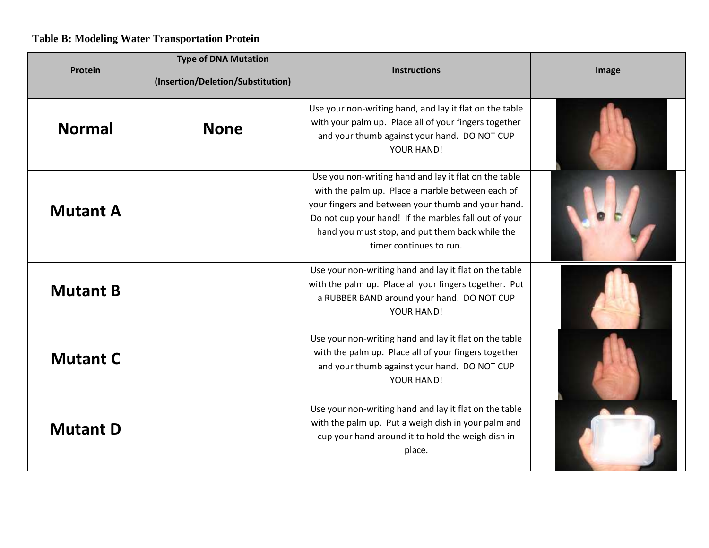## **Table B: Modeling Water Transportation Protein**

| Protein         | <b>Type of DNA Mutation</b><br>(Insertion/Deletion/Substitution) | <b>Instructions</b>                                                                                                                                                                                                                                                                                    | Image |
|-----------------|------------------------------------------------------------------|--------------------------------------------------------------------------------------------------------------------------------------------------------------------------------------------------------------------------------------------------------------------------------------------------------|-------|
| <b>Normal</b>   | <b>None</b>                                                      | Use your non-writing hand, and lay it flat on the table<br>with your palm up. Place all of your fingers together<br>and your thumb against your hand. DO NOT CUP<br>YOUR HAND!                                                                                                                         |       |
| <b>Mutant A</b> |                                                                  | Use you non-writing hand and lay it flat on the table<br>with the palm up. Place a marble between each of<br>your fingers and between your thumb and your hand.<br>Do not cup your hand! If the marbles fall out of your<br>hand you must stop, and put them back while the<br>timer continues to run. |       |
| <b>Mutant B</b> |                                                                  | Use your non-writing hand and lay it flat on the table<br>with the palm up. Place all your fingers together. Put<br>a RUBBER BAND around your hand. DO NOT CUP<br>YOUR HAND!                                                                                                                           |       |
| <b>Mutant C</b> |                                                                  | Use your non-writing hand and lay it flat on the table<br>with the palm up. Place all of your fingers together<br>and your thumb against your hand. DO NOT CUP<br>YOUR HAND!                                                                                                                           |       |
| <b>Mutant D</b> |                                                                  | Use your non-writing hand and lay it flat on the table<br>with the palm up. Put a weigh dish in your palm and<br>cup your hand around it to hold the weigh dish in<br>place.                                                                                                                           |       |